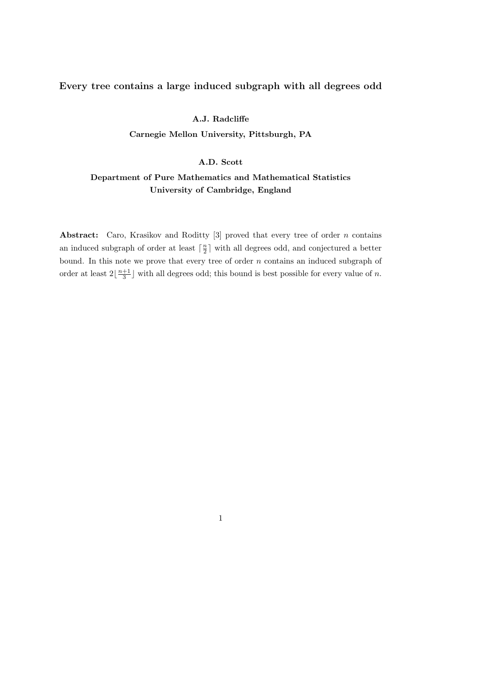## Every tree contains a large induced subgraph with all degrees odd

### A.J. Radcliffe

Carnegie Mellon University, Pittsburgh, PA

### A.D. Scott

# Department of Pure Mathematics and Mathematical Statistics University of Cambridge, England

Abstract: Caro, Krasikov and Roditty  $[3]$  proved that every tree of order n contains an induced subgraph of order at least  $\lceil \frac{n}{2} \rceil$  $\frac{n}{2}$  with all degrees odd, and conjectured a better bound. In this note we prove that every tree of order  $n$  contains an induced subgraph of order at least  $2\left\lfloor \frac{n+1}{3} \right\rfloor$  $\frac{+1}{3}$  with all degrees odd; this bound is best possible for every value of *n*.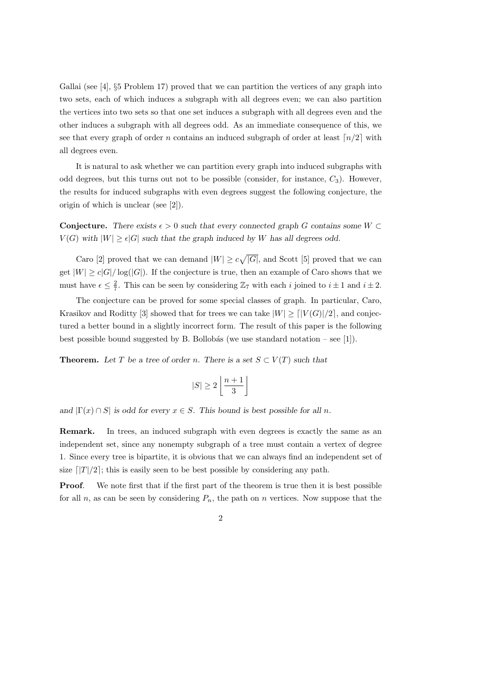Gallai (see [4], §5 Problem 17) proved that we can partition the vertices of any graph into two sets, each of which induces a subgraph with all degrees even; we can also partition the vertices into two sets so that one set induces a subgraph with all degrees even and the other induces a subgraph with all degrees odd. As an immediate consequence of this, we see that every graph of order n contains an induced subgraph of order at least  $\lceil n/2 \rceil$  with all degrees even.

It is natural to ask whether we can partition every graph into induced subgraphs with odd degrees, but this turns out not to be possible (consider, for instance,  $C_3$ ). However, the results for induced subgraphs with even degrees suggest the following conjecture, the origin of which is unclear (see [2]).

Conjecture. There exists  $\epsilon > 0$  such that every connected graph G contains some  $W \subset$  $V(G)$  with  $|W| > \epsilon |G|$  such that the graph induced by W has all degrees odd.

Caro [2] proved that we can demand  $|W| \geq c\sqrt{|G|}$ , and Scott [5] proved that we can get  $|W| \ge c|G|/\log(|G|)$ . If the conjecture is true, then an example of Caro shows that we must have  $\epsilon \leq \frac{2}{7}$  $\frac{2}{7}$ . This can be seen by considering  $\mathbb{Z}_7$  with each i joined to  $i \pm 1$  and  $i \pm 2$ .

The conjecture can be proved for some special classes of graph. In particular, Caro, Krasikov and Roditty [3] showed that for trees we can take  $|W| > |V(G)|/2$ , and conjectured a better bound in a slightly incorrect form. The result of this paper is the following best possible bound suggested by B. Bollobás (we use standard notation – see [1]).

**Theorem.** Let T be a tree of order n. There is a set  $S \subset V(T)$  such that

$$
|S| \ge 2\left\lfloor \frac{n+1}{3} \right\rfloor
$$

and  $|\Gamma(x) \cap S|$  is odd for every  $x \in S$ . This bound is best possible for all n.

Remark. In trees, an induced subgraph with even degrees is exactly the same as an independent set, since any nonempty subgraph of a tree must contain a vertex of degree 1. Since every tree is bipartite, it is obvious that we can always find an independent set of size  $\lceil |T|/2 \rceil$ ; this is easily seen to be best possible by considering any path.

Proof. We note first that if the first part of the theorem is true then it is best possible for all n, as can be seen by considering  $P_n$ , the path on n vertices. Now suppose that the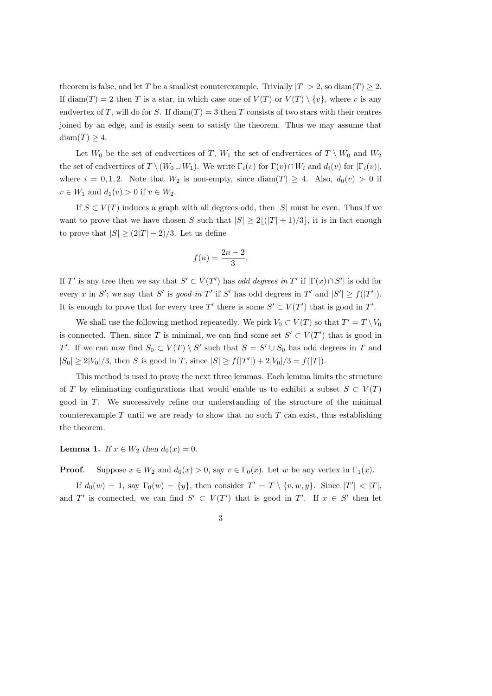theorem is false, and let T be a smallest counterexample. Trivially  $|T| > 2$ , so diam(T)  $\geq 2$ . If diam(T) = 2 then T is a star, in which case one of  $V(T)$  or  $V(T) \setminus \{v\}$ , where v is any endvertex of T, will do for S. If  $\text{diam}(T) = 3$  then T consists of two stars with their centres joined by an edge, and is easily seen to satisfy the theorem. Thus we may assume that diam $(T) \geq 4$ .

Let  $W_0$  be the set of endvertices of T,  $W_1$  the set of endvertices of  $T \setminus W_0$  and  $W_2$ the set of endvertices of  $T \setminus (W_0 \cup W_1)$ . We write  $\Gamma_i(v)$  for  $\Gamma(v) \cap W_i$  and  $d_i(v)$  for  $|\Gamma_i(v)|$ , where  $i = 0, 1, 2$ . Note that  $W_2$  is non-empty, since  $\text{diam}(T) \geq 4$ . Also,  $d_0(v) > 0$  if  $v \in W_1$  and  $d_1(v) > 0$  if  $v \in W_2$ .

If  $S \subset V(T)$  induces a graph with all degrees odd, then |S| must be even. Thus if we want to prove that we have chosen S such that  $|S| \geq 2|(|T| + 1)/3|$ , it is in fact enough to prove that  $|S| \geq (2|T|-2)/3$ . Let us define

$$
f(n) = \frac{2n-2}{3}.
$$

If T' is any tree then we say that  $S' \subset V(T')$  has odd degrees in T' if  $|\Gamma(x) \cap S'|$  is odd for every x in S'; we say that S' is good in T' if S' has odd degrees in T' and  $|S'| \ge f(|T'|)$ . It is enough to prove that for every tree T' there is some  $S' \subset V(T')$  that is good in T'.

We shall use the following method repeatedly. We pick  $V_0 \subset V(T)$  so that  $T' = T \setminus V_0$ is connected. Then, since T is minimal, we can find some set  $S' \subset V(T')$  that is good in T'. If we can now find  $S_0 \subset V(T) \setminus S'$  such that  $S = S' \cup S_0$  has odd degrees in T and  $|S_0| \ge 2|V_0|/3$ , then S is good in T, since  $|S| \ge f(|T'|) + 2|V_0|/3 = f(|T|)$ .

This method is used to prove the next three lemmas. Each lemma limits the structure of T by eliminating configurations that would enable us to exhibit a subset  $S \subset V(T)$ good in T. We successively refine our understanding of the structure of the minimal counterexample  $T$  until we are ready to show that no such  $T$  can exist, thus establishing the theorem.

Lemma 1. If  $x \in W_2$  then  $d_0(x) = 0$ .

**Proof.** Suppose  $x \in W_2$  and  $d_0(x) > 0$ , say  $v \in \Gamma_0(x)$ . Let w be any vertex in  $\Gamma_1(x)$ .

If  $d_0(w) = 1$ , say  $\Gamma_0(w) = \{y\}$ , then consider  $T' = T \setminus \{v, w, y\}$ . Since  $|T'| < |T|$ , and T' is connected, we can find  $S' \subset V(T')$  that is good in T'. If  $x \in S'$  then let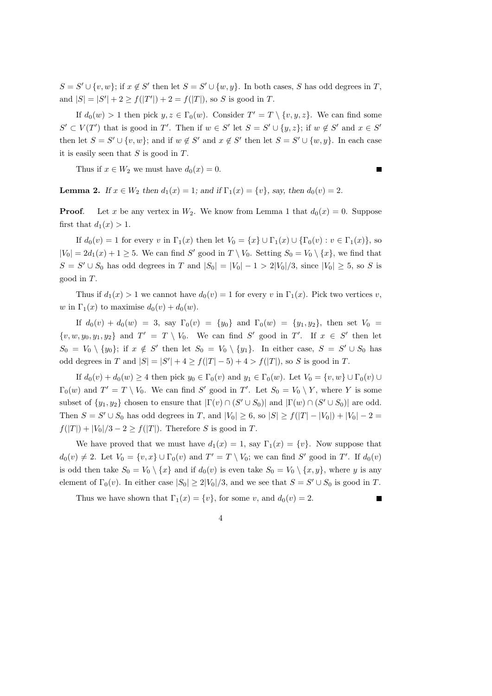$S = S' \cup \{v, w\}$ ; if  $x \notin S'$  then let  $S = S' \cup \{w, y\}$ . In both cases, S has odd degrees in T, and  $|S| = |S'| + 2 \ge f(|T'|) + 2 = f(|T|)$ , so S is good in T.

If  $d_0(w) > 1$  then pick  $y, z \in \Gamma_0(w)$ . Consider  $T' = T \setminus \{v, y, z\}$ . We can find some  $S' \subset V(T')$  that is good in T'. Then if  $w \in S'$  let  $S = S' \cup \{y, z\}$ ; if  $w \notin S'$  and  $x \in S'$ then let  $S = S' \cup \{v, w\}$ ; and if  $w \notin S'$  and  $x \notin S'$  then let  $S = S' \cup \{w, y\}$ . In each case it is easily seen that  $S$  is good in  $T$ .

Thus if  $x \in W_2$  we must have  $d_0(x) = 0$ .

**Lemma 2.** If  $x \in W_2$  then  $d_1(x) = 1$ ; and if  $\Gamma_1(x) = \{v\}$ , say, then  $d_0(v) = 2$ .

**Proof.** Let x be any vertex in  $W_2$ . We know from Lemma 1 that  $d_0(x) = 0$ . Suppose first that  $d_1(x) > 1$ .

If  $d_0(v) = 1$  for every v in  $\Gamma_1(x)$  then let  $V_0 = \{x\} \cup \Gamma_1(x) \cup \{\Gamma_0(v) : v \in \Gamma_1(x)\}\)$ , so  $|V_0| = 2d_1(x) + 1 \ge 5$ . We can find S' good in  $T \setminus V_0$ . Setting  $S_0 = V_0 \setminus \{x\}$ , we find that  $S = S' \cup S_0$  has odd degrees in T and  $|S_0| = |V_0| - 1 > 2|V_0|/3$ , since  $|V_0| \geq 5$ , so S is good in T.

Thus if  $d_1(x) > 1$  we cannot have  $d_0(v) = 1$  for every v in  $\Gamma_1(x)$ . Pick two vertices v, w in  $\Gamma_1(x)$  to maximise  $d_0(v) + d_0(w)$ .

If  $d_0(v) + d_0(w) = 3$ , say  $\Gamma_0(v) = \{y_0\}$  and  $\Gamma_0(w) = \{y_1, y_2\}$ , then set  $V_0 =$  $\{v, w, y_0, y_1, y_2\}$  and  $T' = T \setminus V_0$ . We can find S' good in T'. If  $x \in S'$  then let  $S_0 = V_0 \setminus \{y_0\};$  if  $x \notin S'$  then let  $S_0 = V_0 \setminus \{y_1\}.$  In either case,  $S = S' \cup S_0$  has odd degrees in T and  $|S| = |S'| + 4 \ge f(|T| - 5) + 4 > f(|T|)$ , so S is good in T.

If  $d_0(v) + d_0(w) \geq 4$  then pick  $y_0 \in \Gamma_0(v)$  and  $y_1 \in \Gamma_0(w)$ . Let  $V_0 = \{v, w\} \cup \Gamma_0(v) \cup \Gamma_0(w)$  $\Gamma_0(w)$  and  $T' = T \setminus V_0$ . We can find S' good in T'. Let  $S_0 = V_0 \setminus Y$ , where Y is some subset of  $\{y_1, y_2\}$  chosen to ensure that  $|\Gamma(v) \cap (S' \cup S_0)|$  and  $|\Gamma(w) \cap (S' \cup S_0)|$  are odd. Then  $S = S' \cup S_0$  has odd degrees in T, and  $|V_0| \ge 6$ , so  $|S| \ge f(|T| - |V_0|) + |V_0| - 2 =$  $f(|T|) + |V_0|/3 - 2 \ge f(|T|)$ . Therefore S is good in T.

We have proved that we must have  $d_1(x) = 1$ , say  $\Gamma_1(x) = \{v\}$ . Now suppose that  $d_0(v) \neq 2$ . Let  $V_0 = \{v, x\} \cup \Gamma_0(v)$  and  $T' = T \setminus V_0$ ; we can find S' good in T'. If  $d_0(v)$ is odd then take  $S_0 = V_0 \setminus \{x\}$  and if  $d_0(v)$  is even take  $S_0 = V_0 \setminus \{x, y\}$ , where y is any element of  $\Gamma_0(v)$ . In either case  $|S_0| \geq 2|V_0|/3$ , and we see that  $S = S' \cup S_0$  is good in T.

Thus we have shown that  $\Gamma_1(x) = \{v\}$ , for some v, and  $d_0(v) = 2$ .

4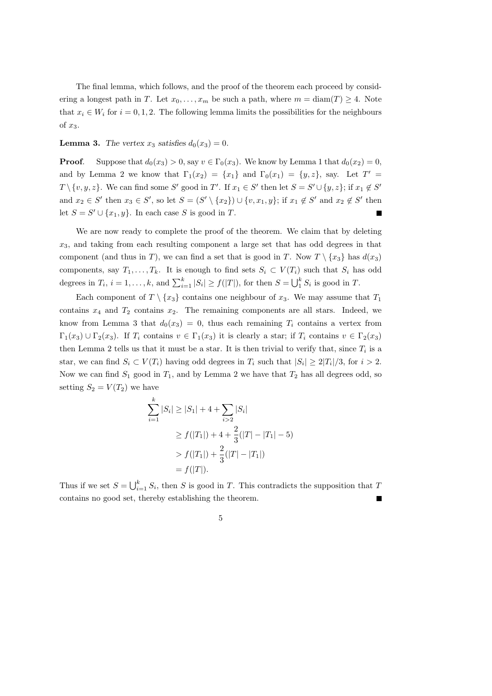The final lemma, which follows, and the proof of the theorem each proceed by considering a longest path in T. Let  $x_0, \ldots, x_m$  be such a path, where  $m = \text{diam}(T) \geq 4$ . Note that  $x_i \in W_i$  for  $i = 0, 1, 2$ . The following lemma limits the possibilities for the neighbours of  $x_3$ .

**Lemma 3.** The vertex  $x_3$  satisfies  $d_0(x_3) = 0$ .

**Proof.** Suppose that  $d_0(x_3) > 0$ , say  $v \in \Gamma_0(x_3)$ . We know by Lemma 1 that  $d_0(x_2) = 0$ , and by Lemma 2 we know that  $\Gamma_1(x_2) = \{x_1\}$  and  $\Gamma_0(x_1) = \{y, z\}$ , say. Let  $T' =$  $T \setminus \{v, y, z\}$ . We can find some S' good in T'. If  $x_1 \in S'$  then let  $S = S' \cup \{y, z\}$ ; if  $x_1 \notin S'$ and  $x_2 \in S'$  then  $x_3 \in S'$ , so let  $S = (S' \setminus \{x_2\}) \cup \{v, x_1, y\}$ ; if  $x_1 \notin S'$  and  $x_2 \notin S'$  then let  $S = S' \cup \{x_1, y\}$ . In each case S is good in T.

We are now ready to complete the proof of the theorem. We claim that by deleting  $x_3$ , and taking from each resulting component a large set that has odd degrees in that component (and thus in T), we can find a set that is good in T. Now  $T \setminus \{x_3\}$  has  $d(x_3)$ components, say  $T_1, \ldots, T_k$ . It is enough to find sets  $S_i \subset V(T_i)$  such that  $S_i$  has odd degrees in  $T_i$ ,  $i = 1, ..., k$ , and  $\sum_{i=1}^k |S_i| \ge f(|T|)$ , for then  $S = \bigcup_1^k S_i$  is good in  $T$ .

Each component of  $T \setminus \{x_3\}$  contains one neighbour of  $x_3$ . We may assume that  $T_1$ contains  $x_4$  and  $T_2$  contains  $x_2$ . The remaining components are all stars. Indeed, we know from Lemma 3 that  $d_0(x_3) = 0$ , thus each remaining  $T_i$  contains a vertex from  $\Gamma_1(x_3) \cup \Gamma_2(x_3)$ . If  $T_i$  contains  $v \in \Gamma_1(x_3)$  it is clearly a star; if  $T_i$  contains  $v \in \Gamma_2(x_3)$ then Lemma 2 tells us that it must be a star. It is then trivial to verify that, since  $T_i$  is a star, we can find  $S_i \subset V(T_i)$  having odd degrees in  $T_i$  such that  $|S_i| \geq 2|T_i|/3$ , for  $i > 2$ . Now we can find  $S_1$  good in  $T_1$ , and by Lemma 2 we have that  $T_2$  has all degrees odd, so setting  $S_2 = V(T_2)$  we have

$$
\sum_{i=1}^{k} |S_i| \ge |S_1| + 4 + \sum_{i>2} |S_i|
$$
  
\n
$$
\ge f(|T_1|) + 4 + \frac{2}{3}(|T| - |T_1| - 5)
$$
  
\n
$$
> f(|T_1|) + \frac{2}{3}(|T| - |T_1|)
$$
  
\n
$$
= f(|T|).
$$

Thus if we set  $S = \bigcup_{i=1}^{k} S_i$ , then S is good in T. This contradicts the supposition that T contains no good set, thereby establishing the theorem.

5